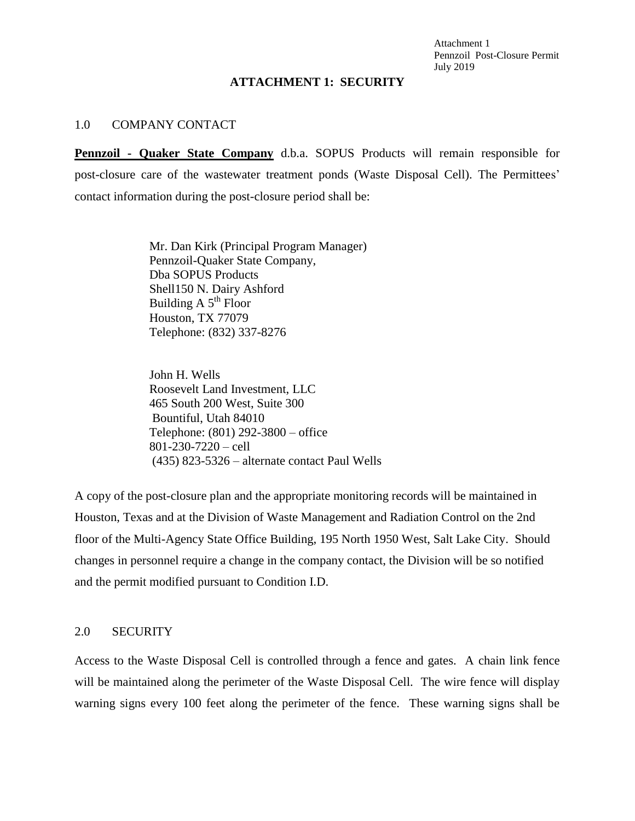Attachment 1 Pennzoil Post-Closure Permit July 2019

## **ATTACHMENT 1: SECURITY**

## 1.0 COMPANY CONTACT

**Pennzoil - Quaker State Company** d.b.a. SOPUS Products will remain responsible for post-closure care of the wastewater treatment ponds (Waste Disposal Cell). The Permittees' contact information during the post-closure period shall be:

> Mr. Dan Kirk (Principal Program Manager) Pennzoil-Quaker State Company, Dba SOPUS Products Shell150 N. Dairy Ashford Building  $A 5<sup>th</sup>$  Floor Houston, TX 77079 Telephone: (832) 337-8276

John H. Wells Roosevelt Land Investment, LLC 465 South 200 West, Suite 300 Bountiful, Utah 84010 Telephone: (801) 292-3800 – office 801-230-7220 – cell (435) 823-5326 – alternate contact Paul Wells

A copy of the post-closure plan and the appropriate monitoring records will be maintained in Houston, Texas and at the Division of Waste Management and Radiation Control on the 2nd floor of the Multi-Agency State Office Building, 195 North 1950 West, Salt Lake City. Should changes in personnel require a change in the company contact, the Division will be so notified and the permit modified pursuant to Condition I.D.

## 2.0 SECURITY

Access to the Waste Disposal Cell is controlled through a fence and gates. A chain link fence will be maintained along the perimeter of the Waste Disposal Cell. The wire fence will display warning signs every 100 feet along the perimeter of the fence. These warning signs shall be